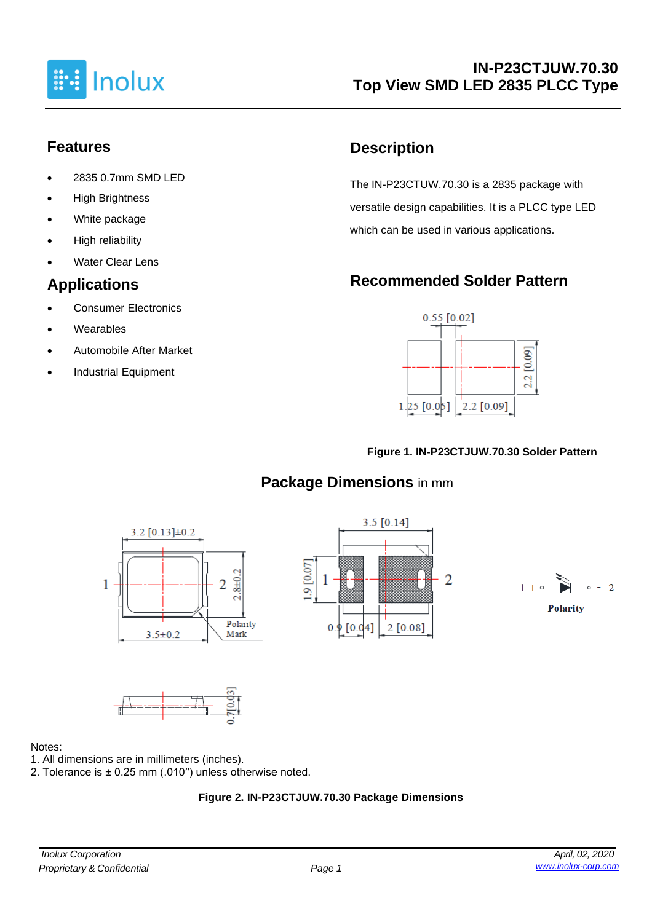

## **Features**

- 2835 0.7mm SMD LED
- **High Brightness**
- White package
- High reliability
- **Water Clear Lens**

## **Applications**

- Consumer Electronics
- **Wearables**
- Automobile After Market
- Industrial Equipment

## **Description**

The IN-P23CTUW.70.30 is a 2835 package with versatile design capabilities. It is a PLCC type LED which can be used in various applications.

# **Recommended Solder Pattern**



#### **Figure 1. IN-P23CTJUW.70.30 Solder Pattern**

# **Package Dimensions** in mm









#### Notes:

- 1. All dimensions are in millimeters (inches).
- 2. Tolerance is ± 0.25 mm (.010′′) unless otherwise noted.

### **Figure 2. IN-P23CTJUW.70.30 Package Dimensions**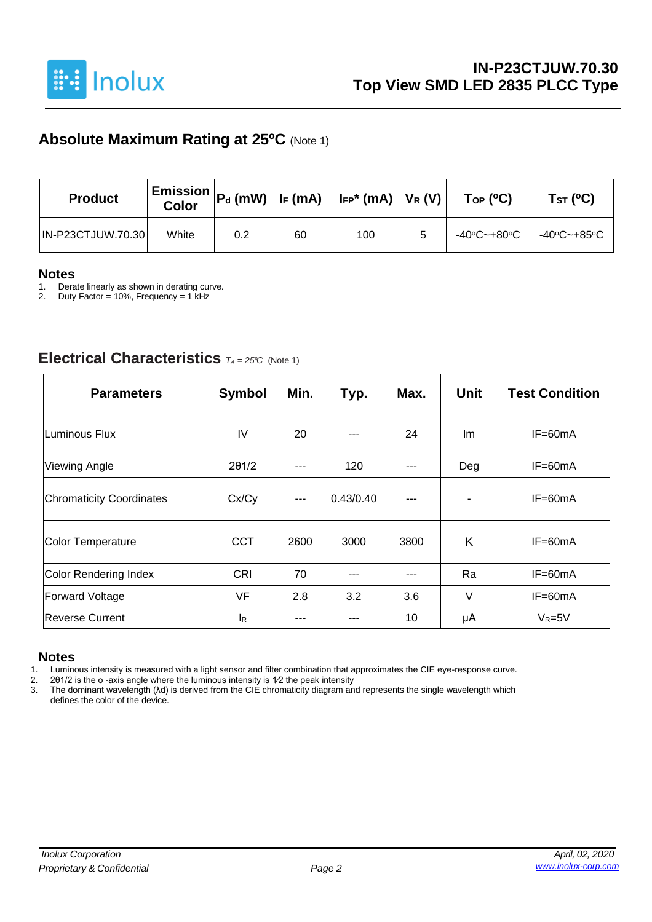

## **Absolute Maximum Rating at 25<sup>o</sup>C** (Note 1)

| <b>Product</b>           | <b>Color</b> | $\mid$ Emission $\mid$ P $_{\sf d}$ (mW) $\mid$ I <sub>F</sub> (mA) $\mid$ I <sub>FP</sub> * (mA) $\mid$ V <sub>R</sub> (V) $\mid$ |    |     | $\mathsf{Top}$ (°C) | Tsт (°C)    |  |
|--------------------------|--------------|------------------------------------------------------------------------------------------------------------------------------------|----|-----|---------------------|-------------|--|
| <b>IN-P23CTJUW.70.30</b> | White        | 0.2                                                                                                                                | 60 | 100 | -40ºC~+80ºC         | -40°C~+85°C |  |

# **Notes**

1. Derate linearly as shown in derating curve.<br>2. Duty Factor = 10%, Frequency = 1 kHz

Duty Factor = 10%, Frequency = 1 kHz

### **Electrical Characteristics** *<sup>T</sup><sup>A</sup> <sup>=</sup> 25°C* (Note 1)

| <b>Parameters</b>               | <b>Symbol</b> | Min.          | Typ.      | Max. | <b>Unit</b> | <b>Test Condition</b> |
|---------------------------------|---------------|---------------|-----------|------|-------------|-----------------------|
| <b>Luminous Flux</b>            | IV            | 20            |           | 24   | Im          | $IF=60mA$             |
| <b>Viewing Angle</b>            | 201/2         | ---           | 120       | ---  | Deg         | IF=60mA               |
| <b>Chromaticity Coordinates</b> | Cx/Cy         | $\frac{1}{2}$ | 0.43/0.40 | ---  |             | IF=60mA               |
| <b>Color Temperature</b>        | <b>CCT</b>    | 2600          | 3000      | 3800 | K           | $IF=60mA$             |
| <b>Color Rendering Index</b>    | <b>CRI</b>    | 70            |           |      | Ra          | IF=60mA               |
| <b>Forward Voltage</b>          | <b>VF</b>     | 2.8           | 3.2       | 3.6  | V           | $IF=60mA$             |
| <b>Reverse Current</b>          | <b>I</b> R    |               |           | 10   | μA          | $V_R = 5V$            |

#### **Notes**

1. Luminous intensity is measured with a light sensor and filter combination that approximates the CIE eye-response curve.<br>2. 201/2 is the o-axis angle where the luminous intensity is  $1/2$  the peak intensity

2. 2θ1/2 is the o -axis angle where the luminous intensity is 1⁄2 the peak intensity

3. The dominant wavelength (λd) is derived from the CIE chromaticity diagram and represents the single wavelength which defines the color of the device.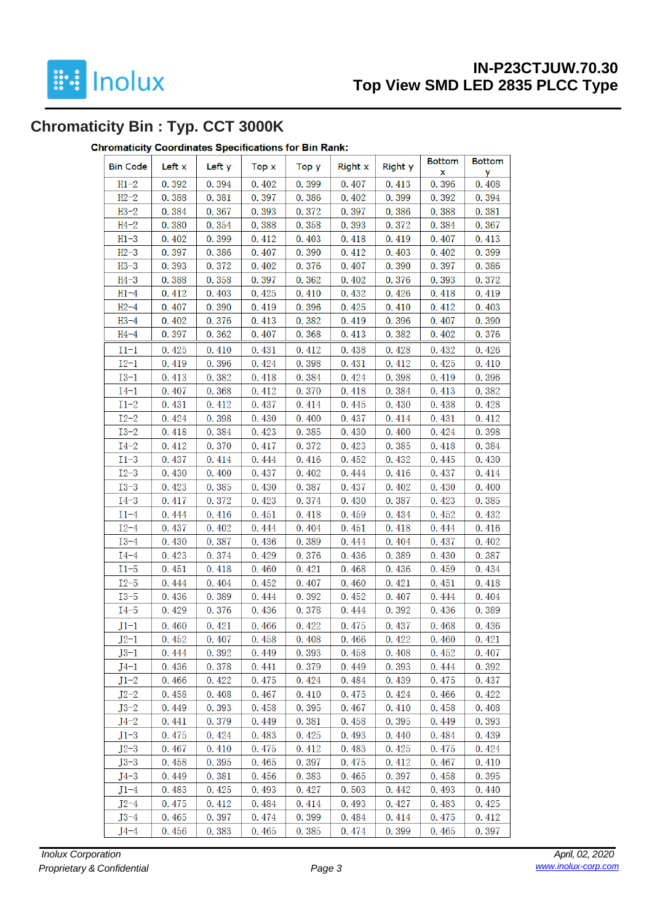

## **IN-P23CTJUW.70.30 Top View SMD LED 2835 PLCC Type**

# **Chromaticity Bin : Typ. CCT 3000K**

#### **Chromaticity Coordinates Specifications for Bin Rank:**

| <b>Bin Code</b> | Left x | Left y | Top x | Top y | Right x | Right y | <b>Bottom</b><br>x | <b>Bottom</b><br>у |
|-----------------|--------|--------|-------|-------|---------|---------|--------------------|--------------------|
| $H1-2$          | 0.392  | 0.394  | 0.402 | 0.399 | 0.407   | 0.413   | 0.396              | 0.408              |
| $H2-2$          | 0.388  | 0.381  | 0.397 | 0.386 | 0.402   | 0.399   | 0.392              | 0.394              |
| $H3-2$          | 0.384  | 0.367  | 0.393 | 0.372 | 0.397   | 0.386   | 0.388              | 0.381              |
| $H4-2$          | 0.380  | 0.354  | 0.388 | 0.358 | 0.393   | 0.372   | 0.384              | 0.367              |
| $H1-3$          | 0.402  | 0.399  | 0.412 | 0.403 | 0.418   | 0.419   | 0.407              | 0.413              |
| $H2-3$          | 0.397  | 0.386  | 0.407 | 0.390 | 0.412   | 0.403   | 0.402              | 0.399              |
| $H3-3$          | 0.393  | 0.372  | 0.402 | 0.376 | 0.407   | 0.390   | 0.397              | 0.386              |
| $H4-3$          | 0.388  | 0.358  | 0.397 | 0.362 | 0.402   | 0.376   | 0.393              | 0.372              |
| $H1-4$          | 0.412  | 0.403  | 0.425 | 0.410 | 0.432   | 0.426   | 0.418              | 0.419              |
| $H2-4$          | 0.407  | 0.390  | 0.419 | 0.396 | 0.425   | 0.410   | 0.412              | 0.403              |
| $H3-4$          | 0.402  | 0.376  | 0.413 | 0.382 | 0.419   | 0.396   | 0.407              | 0.390              |
| $H4-4$          | 0.397  | 0.362  | 0.407 | 0.368 | 0.413   | 0.382   | 0.402              | 0.376              |
| $I1-1$          | 0.425  | 0.410  | 0.431 | 0.412 | 0.438   | 0.428   | 0.432              | 0.426              |
| $I2-1$          | 0.419  | 0.396  | 0.424 | 0.398 | 0.431   | 0.412   | 0.425              | 0.410              |
| $I3-1$          | 0.413  | 0.382  | 0.418 | 0.384 | 0.424   | 0.398   | 0.419              | 0.396              |
| $I4-1$          | 0.407  | 0.368  | 0.412 | 0.370 | 0.418   | 0.384   | 0.413              | 0.382              |
| $I1-2$          | 0.431  | 0.412  | 0.437 | 0.414 | 0.445   | 0.430   | 0.438              | 0.428              |
| $I2 - 2$        | 0.424  | 0.398  | 0.430 | 0.400 | 0.437   | 0.414   | 0.431              | 0.412              |
| $I3-2$          | 0.418  | 0.384  | 0.423 | 0.385 | 0.430   | 0.400   | 0.424              | 0.398              |
| $I4-2$          | 0.412  | 0.370  | 0.417 | 0.372 | 0.423   | 0.385   | 0.418              | 0.384              |
| $I1-3$          | 0.437  | 0.414  | 0.444 | 0.416 | 0.452   | 0.432   | 0.445              | 0.430              |
| $I2 - 3$        | 0.430  | 0.400  | 0.437 | 0.402 | 0.444   | 0.416   | 0.437              | 0.414              |
| $I3-3$          | 0.423  | 0.385  | 0.430 | 0.387 | 0.437   | 0.402   | 0.430              | 0.400              |
| $I4-3$          | 0.417  | 0.372  | 0.423 | 0.374 | 0.430   | 0.387   | 0.423              | 0.385              |
| $I1-4$          | 0.444  | 0.416  | 0.451 | 0.418 | 0.459   | 0.434   | 0.452              | 0.432              |
| $I2-4$          | 0.437  | 0.402  | 0.444 | 0.404 | 0.451   | 0.418   | 0.444              | 0.416              |
| $I3-4$          | 0.430  | 0.387  | 0.436 | 0.389 | 0.444   | 0.404   | 0.437              | 0.402              |
| $I4-4$          | 0.423  | 0.374  | 0.429 | 0.376 | 0.436   | 0.389   | 0.430              | 0.387              |
| $I1-5$          | 0.451  | 0.418  | 0.460 | 0.421 | 0.468   | 0.436   | 0.459              | 0.434              |
| $I2-5$          | 0.444  | 0.404  | 0.452 | 0.407 | 0.460   | 0.421   | 0.451              | 0.418              |
| $I3 - 5$        | 0.436  | 0.389  | 0.444 | 0.392 | 0.452   | 0.407   | 0.444              | 0.404              |
| $I4-5$          | 0.429  | 0.376  | 0.436 | 0.378 | 0.444   | 0.392   | 0.436              | 0.389              |
| $J1-1$          | 0.460  | 0.421  | 0.466 | 0.422 | 0.475   | 0.437   | 0.468              | 0.436              |
| $J2-1$          | 0.452  | 0.407  | 0.458 | 0.408 | 0.466   | 0.422   | 0.460              | 0.421              |
| $J3-1$          | 0.444  | 0.392  | 0.449 | 0.393 | 0.458   | 0.408   | 0.452              | 0.407              |
| $J4-1$          | 0.436  | 0.378  | 0.441 | 0.379 | 0.449   | 0.393   | 0.444              | 0.392              |
| $J1-2$          | 0.466  | 0.422  | 0.475 | 0.424 | 0.484   | 0.439   | 0.475              | 0.437              |
| $J2-2$          | 0.458  | 0.408  | 0.467 | 0.410 | 0.475   | 0.424   | 0.466              | 0.422              |
| $J3-2$          | 0.449  | 0.393  | 0.458 | 0.395 | 0.467   | 0.410   | 0.458              | 0.408              |
| $J4-2$          | 0.441  | 0.379  | 0.449 | 0.381 | 0.458   | 0.395   | 0.449              | 0.393              |
| $J1-3$          | 0.475  | 0.424  | 0.483 | 0.425 | 0.493   | 0.440   | 0.484              | 0.439              |
| $J2-3$          | 0.467  | 0.410  | 0.475 | 0.412 | 0.483   | 0.425   | 0.475              | 0.424              |
| $J3-3$          | 0.458  | 0.395  | 0.465 | 0.397 | 0.475   | 0.412   | 0.467              | 0.410              |
| $J4-3$          | 0.449  | 0.381  | 0.456 | 0.383 | 0.465   | 0.397   | 0.458              | 0.395              |
| $J1-4$          | 0.483  | 0.425  | 0.493 | 0.427 | 0.503   | 0.442   | 0.493              | 0.440              |
| $J2-4$          | 0.475  | 0.412  | 0.484 | 0.414 | 0.493   | 0.427   | 0.483              | 0.425              |
| $J3-4$          | 0.465  | 0.397  | 0.474 | 0.399 | 0.484   | 0.414   | 0.475              | 0.412              |
| $J4-4$          | 0.456  | 0.383  | 0.465 | 0.385 | 0.474   | 0.399   | 0.465              | 0.397              |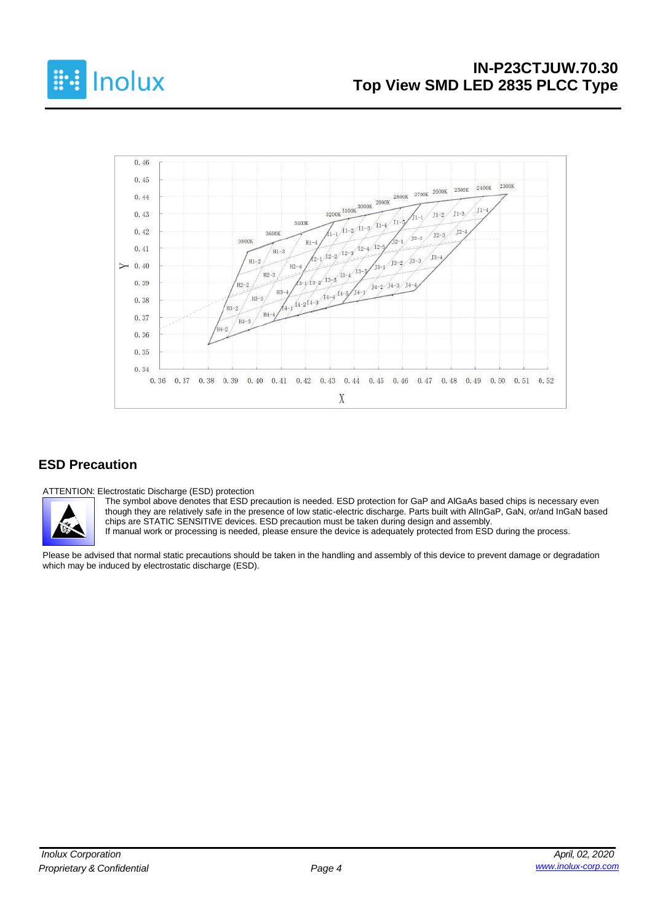



#### **ESD Precaution**

ATTENTION: Electrostatic Discharge (ESD) protection



The symbol above denotes that ESD precaution is needed. ESD protection for GaP and AlGaAs based chips is necessary even though they are relatively safe in the presence of low static-electric discharge. Parts built with AlInGaP, GaN, or/and InGaN based chips are STATIC SENSITIVE devices. ESD precaution must be taken during design and assembly.

If manual work or processing is needed, please ensure the device is adequately protected from ESD during the process.

Please be advised that normal static precautions should be taken in the handling and assembly of this device to prevent damage or degradation which may be induced by electrostatic discharge (ESD).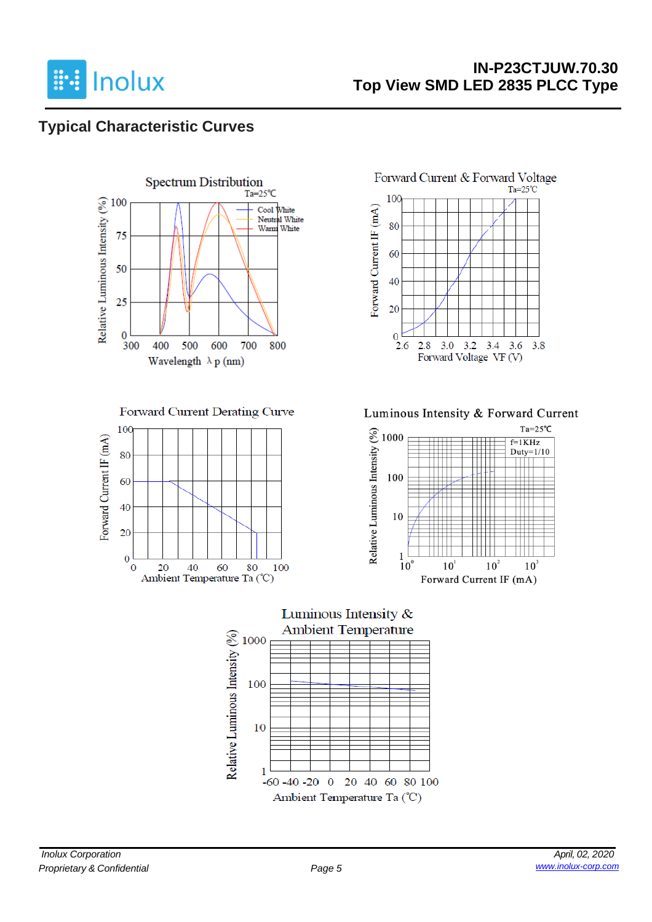

## **IN-P23CTJUW.70.30 Top View SMD LED 2835 PLCC Type**

## **Typical Characteristic Curves**



Forward Current Derating Curve





Luminous Intensity & Forward Current



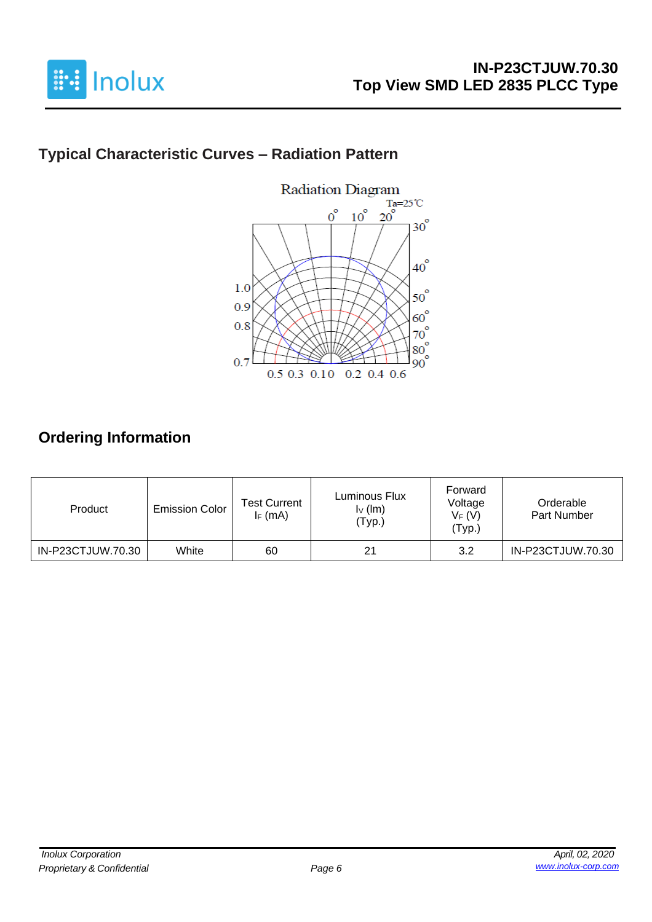

# **Typical Characteristic Curves – Radiation Pattern**



## **Ordering Information**

| Product           | <b>Emission Color</b> | <b>Test Current</b><br>$I_F$ (mA) | Luminous Flux<br>$I_V$ (lm)<br>'Typ.) | Forward<br>Voltage<br>$V_F(V)$<br>'Тур.) | Orderable<br>Part Number |
|-------------------|-----------------------|-----------------------------------|---------------------------------------|------------------------------------------|--------------------------|
| IN-P23CTJUW.70.30 | White                 | 60                                | 21                                    | 3.2                                      | IN-P23CTJUW.70.30        |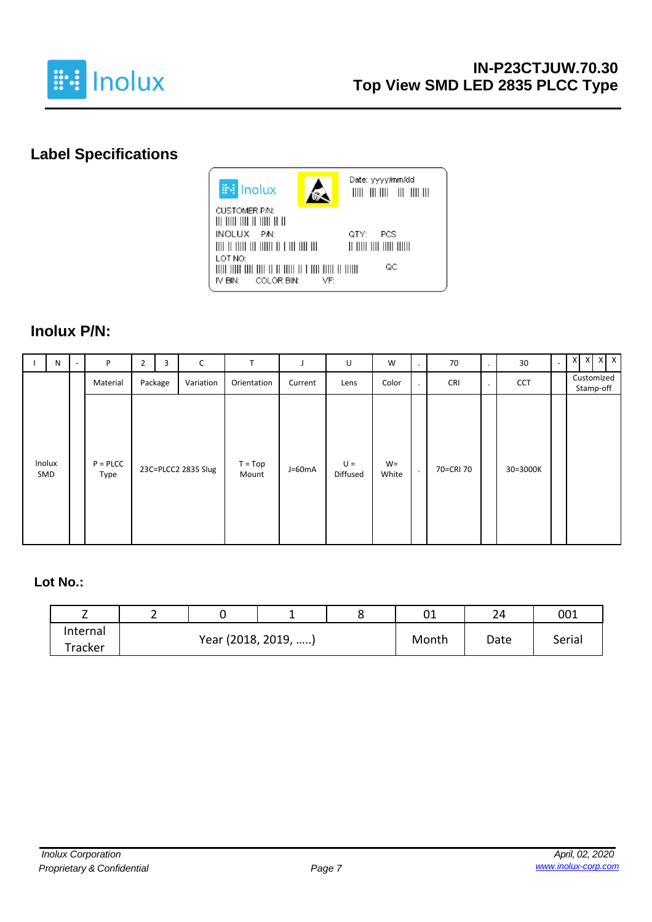

# **Label Specifications**



### **Inolux P/N:**

| N             | P                     | $\overline{2}$ | 3       | C                   | T                  |          | U                 | W              | ٠       | 70         | $\bullet$ | 30         | $\overline{\phantom{0}}$ | $X$ $X$ $X$ $X$         |
|---------------|-----------------------|----------------|---------|---------------------|--------------------|----------|-------------------|----------------|---------|------------|-----------|------------|--------------------------|-------------------------|
|               | Material              |                | Package | Variation           | Orientation        | Current  | Lens              | Color          | $\cdot$ | <b>CRI</b> | $\bullet$ | <b>CCT</b> |                          | Customized<br>Stamp-off |
| Inolux<br>SMD | $P = P L C C$<br>Type |                |         | 23C=PLCC2 2835 Slug | $T = Top$<br>Mount | $J=60mA$ | $U =$<br>Diffused | $W =$<br>White | $\cdot$ | 70=CRI 70  |           | 30=3000K   |                          |                         |

#### **Lot No.:**

| -        | ∸ |                     |  | 01    | 2Δ   | 001    |  |
|----------|---|---------------------|--|-------|------|--------|--|
| Internal |   |                     |  |       |      |        |  |
| Tracker  |   | Year (2018, 2019, ) |  | Month | Date | Serial |  |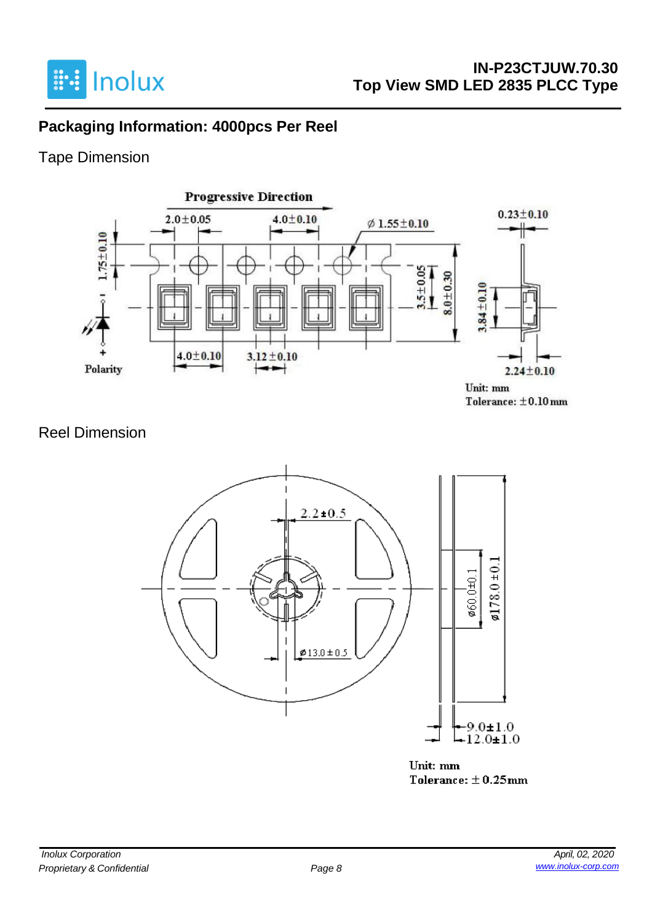

## **Packaging Information: 4000pcs Per Reel**

## Tape Dimension



## Reel Dimension



Unit: mm Tolerance:  $\pm$  0.25mm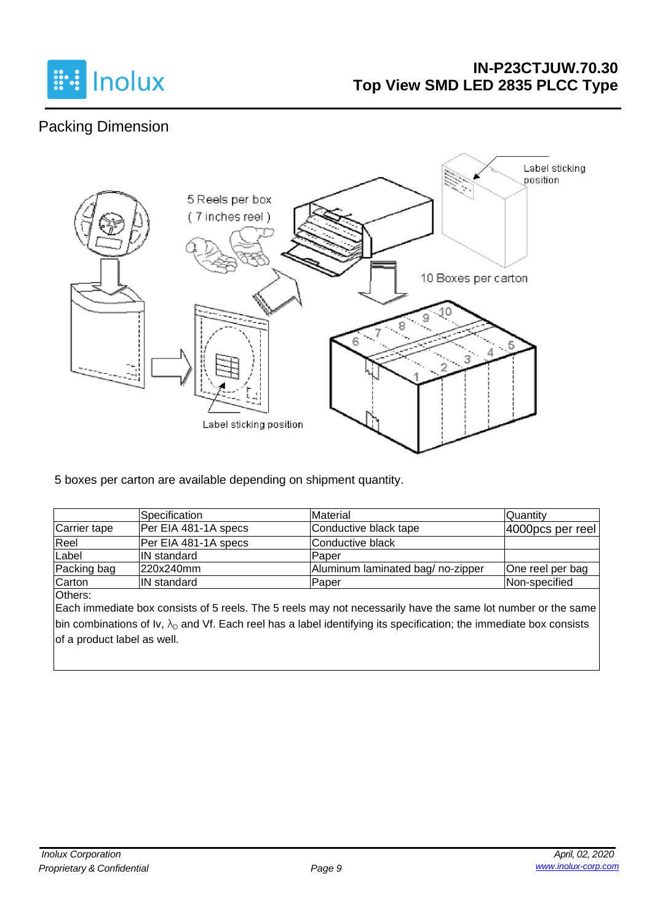

## **IN-P23CTJUW.70.30 Top View SMD LED 2835 PLCC Type**

# Packing Dimension



5 boxes per carton are available depending on shipment quantity.

|              | <b>Specification</b> | Material                         | <b>Quantity</b>      |
|--------------|----------------------|----------------------------------|----------------------|
| Carrier tape | Per EIA 481-1A specs | Conductive black tape            | $ 4000$ pcs per reel |
| Reel         | Per EIA 481-1A specs | Conductive black                 |                      |
| Label        | <b>IN</b> standard   | Paper                            |                      |
| Packing bag  | 220x240mm            | Aluminum laminated bag/no-zipper | One reel per bag     |
| Carton       | <b>IN</b> standard   | Paper                            | Non-specified        |

Others:

Each immediate box consists of 5 reels. The 5 reels may not necessarily have the same lot number or the same bin combinations of Iv,  $\lambda_D$  and Vf. Each reel has a label identifying its specification; the immediate box consists of a product label as well.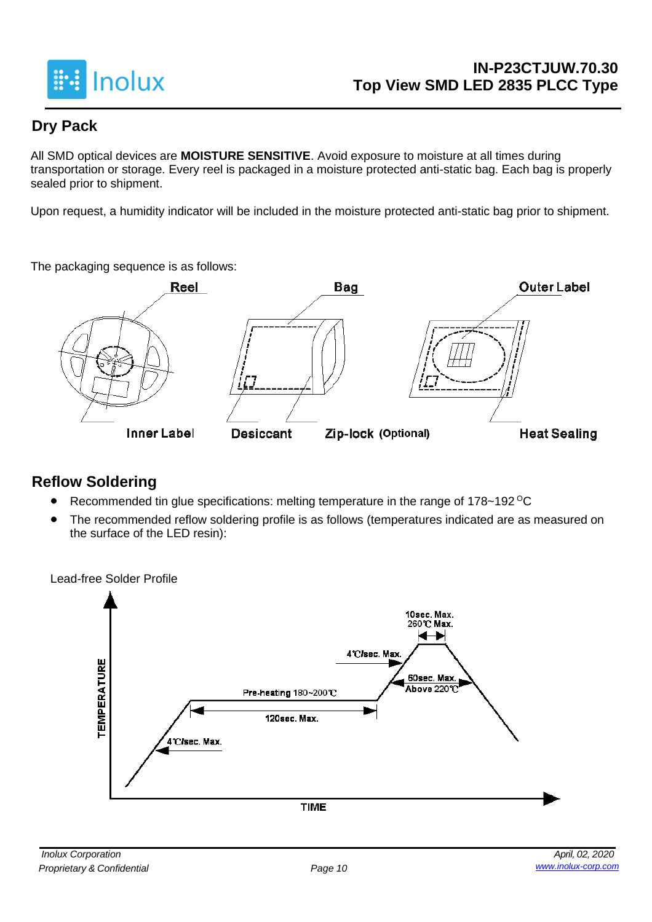

## **Dry Pack**

All SMD optical devices are **MOISTURE SENSITIVE**. Avoid exposure to moisture at all times during transportation or storage. Every reel is packaged in a moisture protected anti-static bag. Each bag is properly sealed prior to shipment.

Upon request, a humidity indicator will be included in the moisture protected anti-static bag prior to shipment.

The packaging sequence is as follows:



### **Reflow Soldering**

- Recommended tin glue specifications: melting temperature in the range of 178~192 <sup>o</sup>C
- The recommended reflow soldering profile is as follows (temperatures indicated are as measured on the surface of the LED resin):

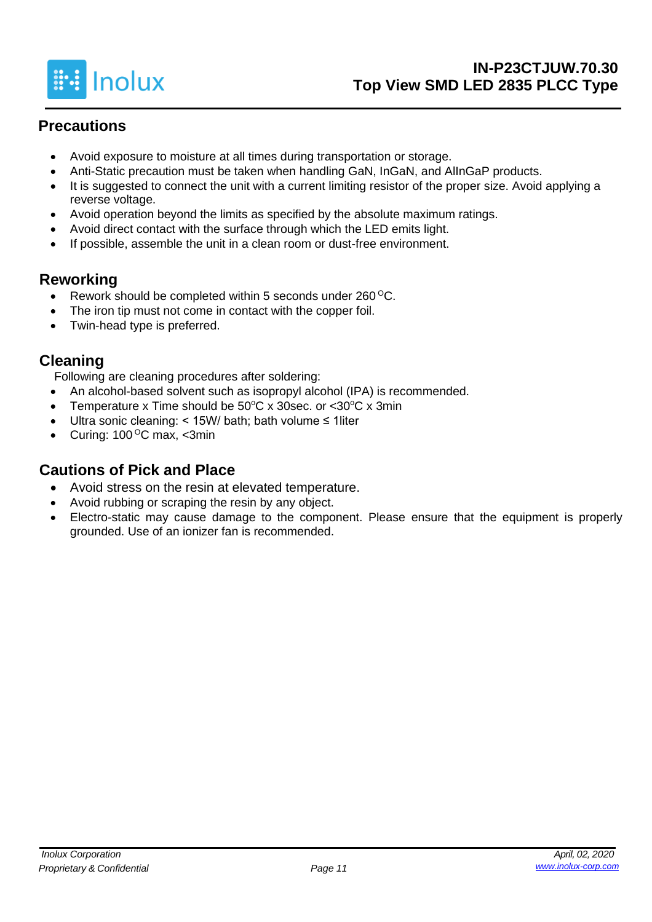

## **Precautions**

- Avoid exposure to moisture at all times during transportation or storage.
- Anti-Static precaution must be taken when handling GaN, InGaN, and AlInGaP products.
- It is suggested to connect the unit with a current limiting resistor of the proper size. Avoid applying a reverse voltage.
- Avoid operation beyond the limits as specified by the absolute maximum ratings.
- Avoid direct contact with the surface through which the LED emits light.
- If possible, assemble the unit in a clean room or dust-free environment.

## **Reworking**

- Rework should be completed within 5 seconds under  $260^{\circ}$ C.
- The iron tip must not come in contact with the copper foil.
- Twin-head type is preferred.

## **Cleaning**

Following are cleaning procedures after soldering:

- An alcohol-based solvent such as isopropyl alcohol (IPA) is recommended.
- Temperature x Time should be  $50^{\circ}$ C x 30sec. or  $<$ 30 $^{\circ}$ C x 3min
- Ultra sonic cleaning: < 15W/ bath; bath volume ≤ 1liter
- Curing:  $100^{\circ}$ C max, <3min

## **Cautions of Pick and Place**

- Avoid stress on the resin at elevated temperature.
- Avoid rubbing or scraping the resin by any object.
- Electro-static may cause damage to the component. Please ensure that the equipment is properly grounded. Use of an ionizer fan is recommended.